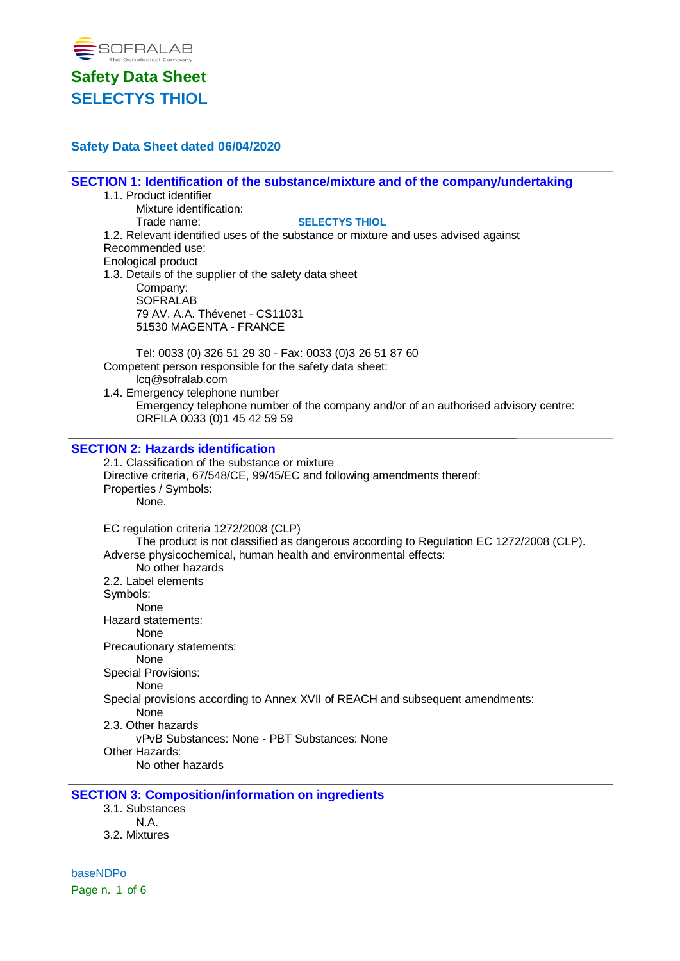

# **Safety Data Sheet dated 06/04/2020**

# **SECTION 1: Identification of the substance/mixture and of the company/undertaking**

- 1.1. Product identifier
	- Mixture identification:

Trade name: **SELECTYS THIOL**

1.2. Relevant identified uses of the substance or mixture and uses advised against Recommended use:

Enological product

1.3. Details of the supplier of the safety data sheet Company: SOFRALAB 79 AV. A.A. Thévenet - CS11031 51530 MAGENTA - FRANCE

Tel: 0033 (0) 326 51 29 30 - Fax: 0033 (0)3 26 51 87 60 Competent person responsible for the safety data sheet: lcq@sofralab.com

1.4. Emergency telephone number Emergency telephone number of the company and/or of an authorised advisory centre: ORFILA 0033 (0)1 45 42 59 59

#### **SECTION 2: Hazards identification**

2.1. Classification of the substance or mixture Directive criteria, 67/548/CE, 99/45/EC and following amendments thereof: Properties / Symbols: None. EC regulation criteria 1272/2008 (CLP) The product is not classified as dangerous according to Regulation EC 1272/2008 (CLP). Adverse physicochemical, human health and environmental effects: No other hazards 2.2. Label elements Symbols: None Hazard statements: None Precautionary statements: None Special Provisions: None

Special provisions according to Annex XVII of REACH and subsequent amendments:

None

2.3. Other hazards

vPvB Substances: None - PBT Substances: None

Other Hazards:

No other hazards

# **SECTION 3: Composition/information on ingredients**

- 3.1. Substances N.A.
- 3.2. Mixtures

baseNDPo Page n. 1 of 6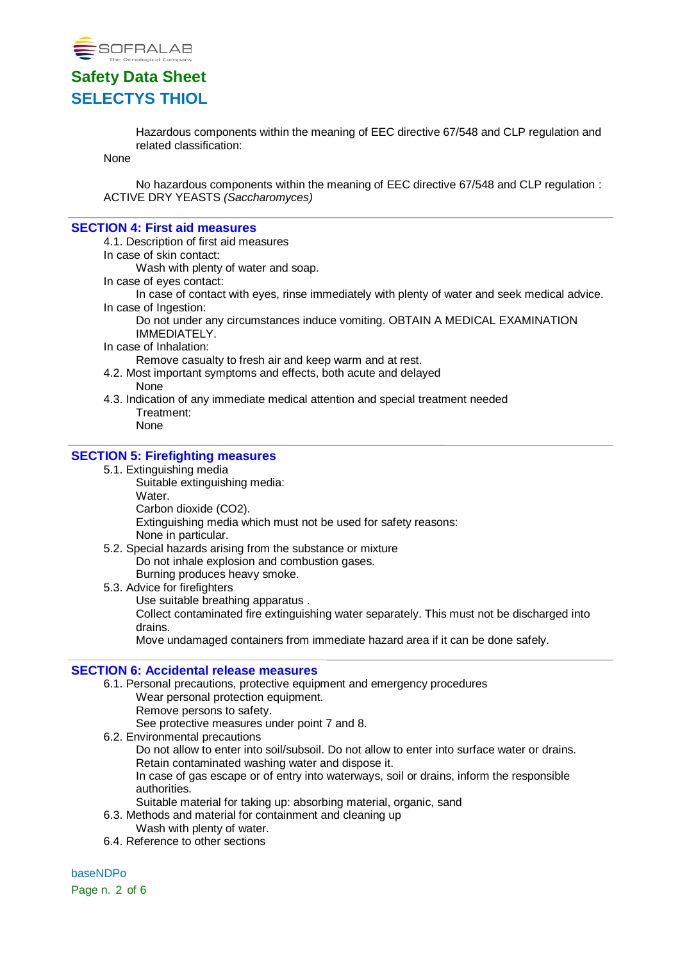

Hazardous components within the meaning of EEC directive 67/548 and CLP regulation and related classification:

None

No hazardous components within the meaning of EEC directive 67/548 and CLP regulation : ACTIVE DRY YEASTS *(Saccharomyces)*

#### **SECTION 4: First aid measures**

4.1. Description of first aid measures

In case of skin contact:

Wash with plenty of water and soap.

In case of eyes contact:

In case of contact with eyes, rinse immediately with plenty of water and seek medical advice. In case of Ingestion:

Do not under any circumstances induce vomiting. OBTAIN A MEDICAL EXAMINATION IMMEDIATELY.

In case of Inhalation:

Remove casualty to fresh air and keep warm and at rest.

- 4.2. Most important symptoms and effects, both acute and delayed None
- 4.3. Indication of any immediate medical attention and special treatment needed Treatment: None

### **SECTION 5: Firefighting measures**

- 5.1. Extinguishing media
	- Suitable extinguishing media: Water. Carbon dioxide (CO2).

Extinguishing media which must not be used for safety reasons: None in particular.

- 5.2. Special hazards arising from the substance or mixture Do not inhale explosion and combustion gases. Burning produces heavy smoke.
- 5.3. Advice for firefighters Use suitable breathing apparatus . Collect contaminated fire extinguishing water separately. This must not be discharged into drains.

Move undamaged containers from immediate hazard area if it can be done safely.

#### **SECTION 6: Accidental release measures**

- 6.1. Personal precautions, protective equipment and emergency procedures
	- Wear personal protection equipment.

Remove persons to safety.

See protective measures under point 7 and 8.

6.2. Environmental precautions

Do not allow to enter into soil/subsoil. Do not allow to enter into surface water or drains. Retain contaminated washing water and dispose it.

In case of gas escape or of entry into waterways, soil or drains, inform the responsible authorities.

- Suitable material for taking up: absorbing material, organic, sand
- 6.3. Methods and material for containment and cleaning up
	- Wash with plenty of water.
- 6.4. Reference to other sections

baseNDPo Page n. 2 of 6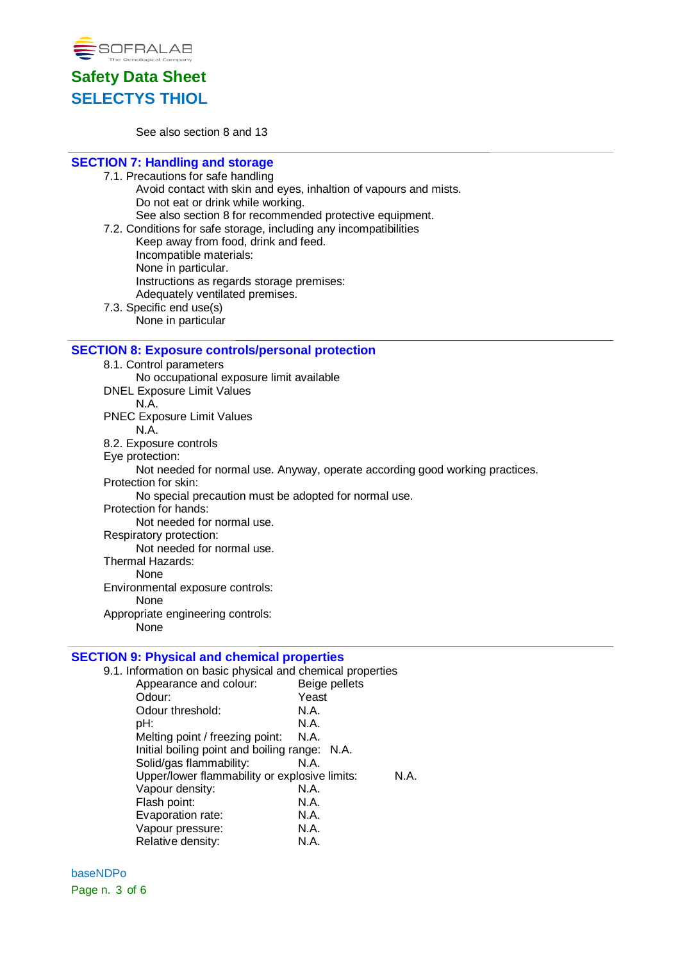



See also section 8 and 13

# **SECTION 7: Handling and storage**

- 7.1. Precautions for safe handling Avoid contact with skin and eyes, inhaltion of vapours and mists. Do not eat or drink while working. See also section 8 for recommended protective equipment. 7.2. Conditions for safe storage, including any incompatibilities
- Keep away from food, drink and feed. Incompatible materials: None in particular. Instructions as regards storage premises: Adequately ventilated premises. 7.3. Specific end use(s)
	- None in particular

#### **SECTION 8: Exposure controls/personal protection**

8.1. Control parameters No occupational exposure limit available DNEL Exposure Limit Values N.A. PNEC Exposure Limit Values N.A. 8.2. Exposure controls Eye protection: Not needed for normal use. Anyway, operate according good working practices. Protection for skin: No special precaution must be adopted for normal use. Protection for hands: Not needed for normal use. Respiratory protection: Not needed for normal use. Thermal Hazards: None Environmental exposure controls: None

Appropriate engineering controls: None

# **SECTION 9: Physical and chemical properties**

| 9.1. Information on basic physical and chemical properties |               |     |
|------------------------------------------------------------|---------------|-----|
| Appearance and colour:                                     | Beige pellets |     |
| Odour:                                                     | Yeast         |     |
| Odour threshold:                                           | N.A.          |     |
| pH:                                                        | N.A.          |     |
| Melting point / freezing point: N.A.                       |               |     |
| Initial boiling point and boiling range: N.A.              |               |     |
| Solid/gas flammability:                                    | N.A.          |     |
| Upper/lower flammability or explosive limits:              |               | N A |
| Vapour density:                                            | N.A.          |     |
| Flash point:                                               | N.A.          |     |
| Evaporation rate:                                          | N.A.          |     |
| Vapour pressure:                                           | N.A.          |     |
| Relative density:                                          | N.A.          |     |

baseNDPo Page n. 3 of 6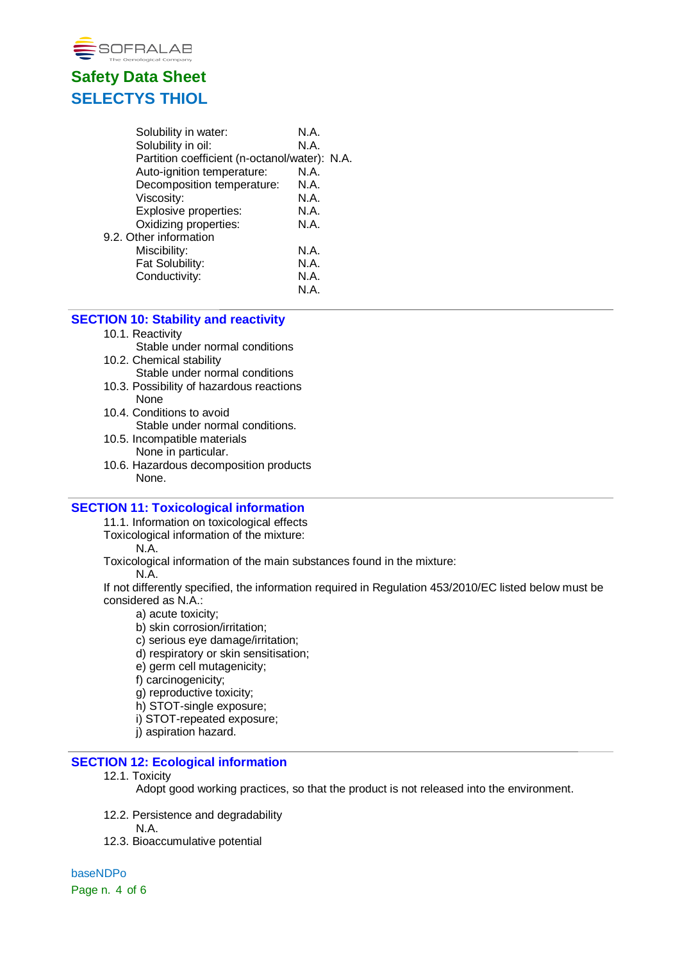

| N.A.                                          |  |
|-----------------------------------------------|--|
| N.A.                                          |  |
| Partition coefficient (n-octanol/water): N.A. |  |
| N.A.                                          |  |
| N.A.                                          |  |
| N.A.                                          |  |
| N.A.                                          |  |
| N.A.                                          |  |
|                                               |  |
| N.A.                                          |  |
| N.A.                                          |  |
| N.A.                                          |  |
| N.A.                                          |  |
|                                               |  |

#### **SECTION 10: Stability and reactivity**

#### 10.1. Reactivity

- Stable under normal conditions
- 10.2. Chemical stability Stable under normal conditions
- 10.3. Possibility of hazardous reactions None
- 10.4. Conditions to avoid Stable under normal conditions.
- 10.5. Incompatible materials None in particular.
- 10.6. Hazardous decomposition products None.

### **SECTION 11: Toxicological information**

11.1. Information on toxicological effects

Toxicological information of the mixture:

N.A.

Toxicological information of the main substances found in the mixture:

N.A.

If not differently specified, the information required in Regulation 453/2010/EC listed below must be considered as N.A.:

- a) acute toxicity;
- b) skin corrosion/irritation;
- c) serious eye damage/irritation;
- d) respiratory or skin sensitisation;
- e) germ cell mutagenicity;
- f) carcinogenicity;
- g) reproductive toxicity;
- h) STOT-single exposure;
- i) STOT-repeated exposure;
- j) aspiration hazard.

# **SECTION 12: Ecological information**

12.1. Toxicity

Adopt good working practices, so that the product is not released into the environment.

- 12.2. Persistence and degradability
	- N.A.
- 12.3. Bioaccumulative potential

baseNDPo Page n. 4 of 6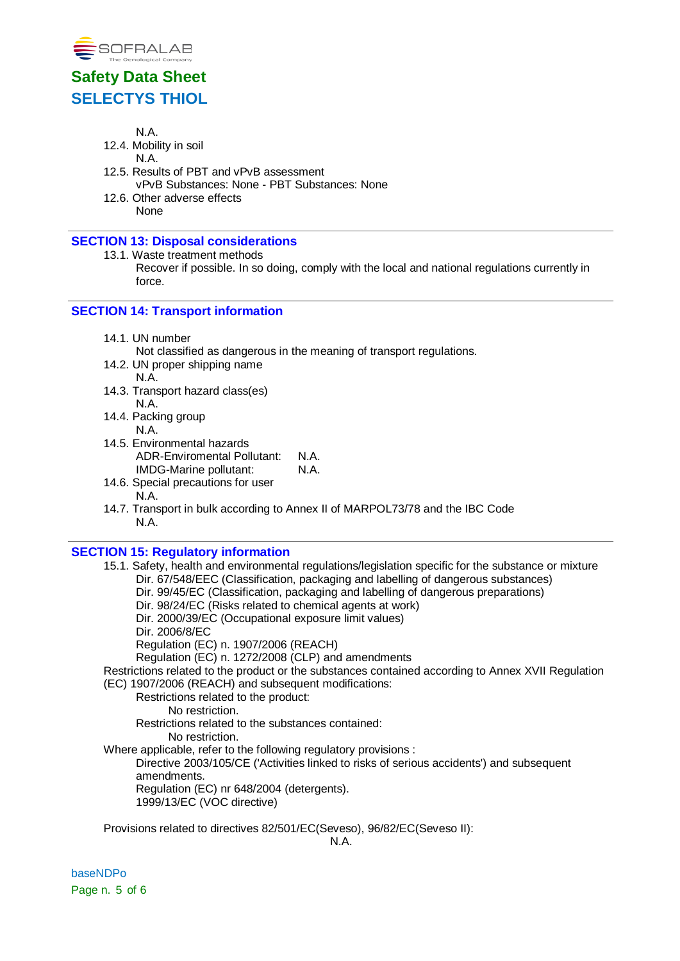

N.A.

- 12.4. Mobility in soil
	- N.A.
- 12.5. Results of PBT and vPvB assessment vPvB Substances: None - PBT Substances: None
- 12.6. Other adverse effects None

### **SECTION 13: Disposal considerations**

13.1. Waste treatment methods

Recover if possible. In so doing, comply with the local and national regulations currently in force.

# **SECTION 14: Transport information**

14.1. UN number

Not classified as dangerous in the meaning of transport regulations.

- 14.2. UN proper shipping name N.A.
- 14.3. Transport hazard class(es) N.A.
- 14.4. Packing group N.A.
- 14.5. Environmental hazards ADR-Enviromental Pollutant: N.A.<br>IMDG-Marine pollutant: N.A. IMDG-Marine pollutant:
- 14.6. Special precautions for user N.A.
- 14.7. Transport in bulk according to Annex II of MARPOL73/78 and the IBC Code N.A.

### **SECTION 15: Regulatory information**

- 15.1. Safety, health and environmental regulations/legislation specific for the substance or mixture Dir. 67/548/EEC (Classification, packaging and labelling of dangerous substances) Dir. 99/45/EC (Classification, packaging and labelling of dangerous preparations) Dir. 98/24/EC (Risks related to chemical agents at work) Dir. 2000/39/EC (Occupational exposure limit values) Dir. 2006/8/EC Regulation (EC) n. 1907/2006 (REACH) Regulation (EC) n. 1272/2008 (CLP) and amendments Restrictions related to the product or the substances contained according to Annex XVII Regulation (EC) 1907/2006 (REACH) and subsequent modifications: Restrictions related to the product: No restriction. Restrictions related to the substances contained: No restriction. Where applicable, refer to the following regulatory provisions : Directive 2003/105/CE ('Activities linked to risks of serious accidents') and subsequent
	- amendments.

Regulation (EC) nr 648/2004 (detergents).

1999/13/EC (VOC directive)

Provisions related to directives 82/501/EC(Seveso), 96/82/EC(Seveso II):

baseNDPo Page n. 5 of 6